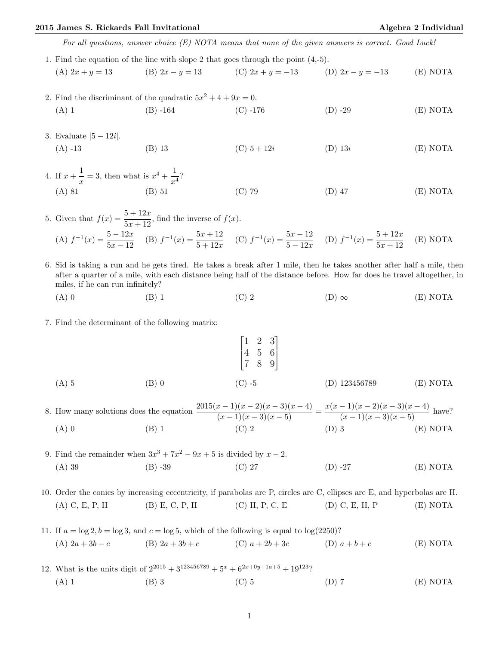## 2015 James S. Rickards Fall Invitational Algebra 2 Individual Algebra 2 Individual

For all questions, answer choice (E) NOTA means that none of the given answers is correct. Good Luck!

- 1. Find the equation of the line with slope 2 that goes through the point (4,-5). (A)  $2x + y = 13$  (B)  $2x - y = 13$  (C)  $2x + y = -13$  (D)  $2x - y = -13$  (E) NOTA
- 2. Find the discriminant of the quadratic  $5x^2 + 4 + 9x = 0$ . (A) 1 (B) -164 (C) -176 (D) -29 (E) NOTA
- 3. Evaluate |5 − 12i|. (A) -13 (B) 13 (C)  $5+12i$  (D)  $13i$  (E) NOTA
- 4. If  $x + \frac{1}{x}$  $\frac{1}{x} = 3$ , then what is  $x^4 + \frac{1}{x^2}$  $\frac{1}{x^4}$ ? (A) 81 (B) 51 (C) 79 (D) 47 (E) NOTA

5. Given that  $f(x) = \frac{5 + 12x}{5x + 12}$ , find the inverse of  $f(x)$ . (A)  $f^{-1}(x) = \frac{5 - 12x}{5x - 12}$  (B)  $f^{-1}(x) = \frac{5x + 12}{5 + 12x}$  (C)  $f^{-1}(x) = \frac{5x - 12}{5 - 12x}$  (D)  $f^{-1}(x) = \frac{5 + 12x}{5x + 12}$ (E) NOTA

- 6. Sid is taking a run and he gets tired. He takes a break after 1 mile, then he takes another after half a mile, then after a quarter of a mile, with each distance being half of the distance before. How far does he travel altogether, in miles, if he can run infinitely?
	- (A) 0 (B) 1 (C) 2 (D)  $\infty$  (E) NOTA
- 7. Find the determinant of the following matrix:

$$
\begin{bmatrix} 1 & 2 & 3 \ 4 & 5 & 6 \ 7 & 8 & 9 \end{bmatrix}
$$
  
(A) 5  
(B) 0  
(C) -5  
(D) 123456789  
(E) NOTA

8. How many solutions does the equation  $\frac{2015(x-1)(x-2)(x-3)(x-4)}{(x-1)(x-3)(x-5)} = \frac{x(x-1)(x-2)(x-3)(x-4)}{(x-1)(x-3)(x-5)}$  have? (A) 0 (B) 1 (C) 2 (D) 3 (E) NOTA

9. Find the remainder when  $3x^3 + 7x^2 - 9x + 5$  is divided by  $x - 2$ . (A) 39 (B) -39 (C) 27 (D) -27 (E) NOTA

10. Order the conics by increasing eccentricity, if parabolas are P, circles are C, ellipses are E, and hyperbolas are H. (A) C, E, P, H (B) E, C, P, H (C) H, P, C, E (D) C, E, H, P (E) NOTA

11. If 
$$
a = \log 2
$$
,  $b = \log 3$ , and  $c = \log 5$ , which of the following is equal to  $\log(2250)$ ?  
\n(A)  $2a + 3b - c$  (B)  $2a + 3b + c$  (C)  $a + 2b + 3c$  (D)  $a + b + c$  (E) NOTA

12. What is the units digit of  $2^{2015} + 3^{123456789} + 5^x + 6^{2x+0y+1a+5} + 19^{123}$ ? (A) 1 (B) 3 (C) 5 (D) 7 (E) NOTA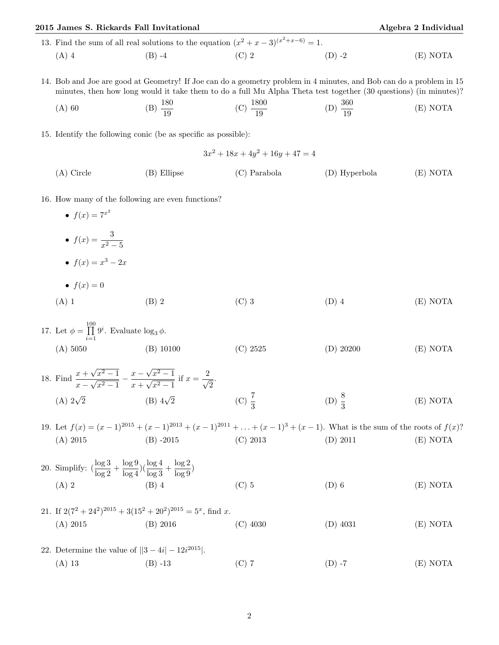| 2015 James S. Rickards Fall Invitational                                                                                               |                                                                                                                                                                                                                                         |                                                                                              |                                                                                                                                               | Algebra 2 Individual |  |
|----------------------------------------------------------------------------------------------------------------------------------------|-----------------------------------------------------------------------------------------------------------------------------------------------------------------------------------------------------------------------------------------|----------------------------------------------------------------------------------------------|-----------------------------------------------------------------------------------------------------------------------------------------------|----------------------|--|
|                                                                                                                                        |                                                                                                                                                                                                                                         | 13. Find the sum of all real solutions to the equation $(x^2 + x - 3)^{(x^2 + x - 6)} = 1$ . |                                                                                                                                               |                      |  |
| $(A)$ 4                                                                                                                                | $(B) -4$                                                                                                                                                                                                                                | $(C)$ 2                                                                                      | $(D) -2$                                                                                                                                      | (E) NOTA             |  |
|                                                                                                                                        | 14. Bob and Joe are good at Geometry! If Joe can do a geometry problem in 4 minutes, and Bob can do a problem in 15<br>minutes, then how long would it take them to do a full Mu Alpha Theta test together (30 questions) (in minutes)? |                                                                                              |                                                                                                                                               |                      |  |
| $(A)$ 60                                                                                                                               | (B) $\frac{180}{19}$                                                                                                                                                                                                                    | (C) $\frac{1800}{19}$                                                                        | (D) $\frac{360}{19}$                                                                                                                          | (E) NOTA             |  |
|                                                                                                                                        | 15. Identify the following conic (be as specific as possible):                                                                                                                                                                          |                                                                                              |                                                                                                                                               |                      |  |
| $3x^2 + 18x + 4y^2 + 16y + 47 = 4$                                                                                                     |                                                                                                                                                                                                                                         |                                                                                              |                                                                                                                                               |                      |  |
| $(A)$ Circle                                                                                                                           | (B) Ellipse                                                                                                                                                                                                                             | $(C)$ Parabola                                                                               | (D) Hyperbola                                                                                                                                 | (E) NOTA             |  |
| 16. How many of the following are even functions?<br>• $f(x) = 7^{x^2}$                                                                |                                                                                                                                                                                                                                         |                                                                                              |                                                                                                                                               |                      |  |
| • $f(x) = \frac{3}{x^2 - 5}$                                                                                                           |                                                                                                                                                                                                                                         |                                                                                              |                                                                                                                                               |                      |  |
| • $f(x) = x^3 - 2x$                                                                                                                    |                                                                                                                                                                                                                                         |                                                                                              |                                                                                                                                               |                      |  |
| • $f(x) = 0$                                                                                                                           |                                                                                                                                                                                                                                         |                                                                                              |                                                                                                                                               |                      |  |
| $(A)$ 1                                                                                                                                | $(B)$ 2                                                                                                                                                                                                                                 | $(C)$ 3                                                                                      | $(D)$ 4                                                                                                                                       | (E) NOTA             |  |
| 17. Let $\phi = \prod_{i=1}^{100} 9^i$ . Evaluate $\log_3 \phi$ .                                                                      |                                                                                                                                                                                                                                         |                                                                                              |                                                                                                                                               |                      |  |
| (A) 5050                                                                                                                               | $(B)$ 10100                                                                                                                                                                                                                             | (C) 2525                                                                                     | $(D)$ 20200                                                                                                                                   | (E) NOTA             |  |
| 18. Find $\frac{x + \sqrt{x^2 - 1}}{x - \sqrt{x^2 - 1}} - \frac{x - \sqrt{x^2 - 1}}{x + \sqrt{x^2 - 1}}$ if $x = \frac{2}{\sqrt{2}}$ . |                                                                                                                                                                                                                                         |                                                                                              |                                                                                                                                               |                      |  |
| (A) $2\sqrt{2}$                                                                                                                        | (B) $4\sqrt{2}$                                                                                                                                                                                                                         | (C) $\frac{7}{3}$                                                                            | (D) $\frac{8}{3}$                                                                                                                             | (E) NOTA             |  |
| (A) 2015                                                                                                                               | $(B) -2015$                                                                                                                                                                                                                             | $(C)$ 2013                                                                                   | 19. Let $f(x) = (x-1)^{2015} + (x-1)^{2013} + (x-1)^{2011} + \ldots + (x-1)^3 + (x-1)$ . What is the sum of the roots of $f(x)$ ?<br>(D) 2011 | (E) NOTA             |  |
| 20. Simplify: $\left(\frac{\log 3}{\log 2} + \frac{\log 9}{\log 4}\right) \left(\frac{\log 4}{\log 3} + \frac{\log 2}{\log 9}\right)$  |                                                                                                                                                                                                                                         |                                                                                              |                                                                                                                                               |                      |  |
| $(A)$ 2                                                                                                                                | $(B)$ 4                                                                                                                                                                                                                                 | $(C)$ 5                                                                                      | $(D)$ 6                                                                                                                                       | (E) NOTA             |  |
| (A) 2015                                                                                                                               | 21. If $2(7^2 + 24^2)^{2015} + 3(15^2 + 20^2)^{2015} = 5^x$ , find x.<br>(B) 2016                                                                                                                                                       | $(C)$ 4030                                                                                   | $(D)$ 4031                                                                                                                                    | (E) NOTA             |  |
| 22. Determine the value of $  3 - 4i  - 12i^{2015}  $ .                                                                                |                                                                                                                                                                                                                                         |                                                                                              |                                                                                                                                               |                      |  |
| $(A)$ 13                                                                                                                               | $(B) -13$                                                                                                                                                                                                                               | $(C)$ 7                                                                                      | $(D) -7$                                                                                                                                      | (E) NOTA             |  |